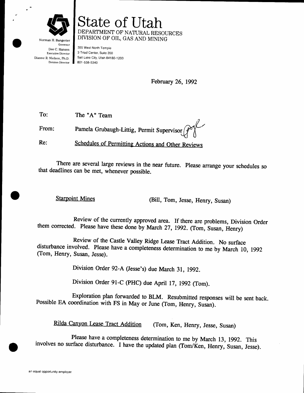

Norman H. Bangerter Governor State of tltah DEPARTMENT OF NATURAL RESOURCES DIVTSION OF OIL, GAS AND MINING 355 West North Temple

Dee C. Hansen Executive Director Dianne R. Nielson, ph.D. Division Director

3 Triad Center, Suite 350 Salt Lake City, Utah 84180-1203 801 -538-5340

February 26, 1992

To: The "A" Team

Pamela Grubaugh-Littig, Permit Supervisor From:

Re: Schedules of Permitting Actions and Other Reviews

There are several large reviews in the near future. Please arrange your schedules so that deadlines can be met, whenever possible.

Starpoint Mines<br>
(Bill, Tom, Jesse, Henry, Susan)

Review of the currently approved area. If there are problems, Division Order them corrected. Please have these done by March 27, 1992. (Tom, Susan, Henry)

Review of the Castle Valley Ridge Lease Tract Addition. No surface disturbance involved. Please have a completeness determination to me by March 10, 1992 (Tom, Henry, Susan, Jesse).

Division Order 92-A (Jesse's) due March 31, 1992.

Division Order 91-C (PHC) due April 17, 1992 (Tom).

Exploration plan forwarded to BLM. Resubmitted responses will be sent back. Possible EA coordination with FS in May or June (Tom, Henry, Susan).

Rilda Canyon Lease Tract Addition (Tom, Ken, Henry, Jesse, Susan)

Please have a completeness determination to me by March 13, 1992. This involves no surface disturbance. I have the updated plan (Tom/Ken, Henry, Susan, Jesse).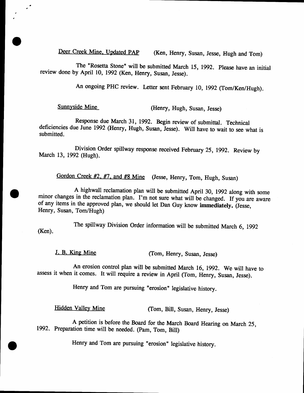Deer Creek Mine, Updated PAP (Ken, Henry, Susan, Jesse, Hugh and Tom)

The "Rosetta Stone" will be submitted March 15, 1992. Please have an initial review done by April 10, 1992 (Ken, Henry, Susan, Jesse).

An ongoing PHC review. Letter sent February 10, 1992 (Tom/Ken/Hugh).

 $e^{i\theta}$ 

a

Sunnyside Mine<br>
(Henry, Hugh, Susan, Jesse)

Response due March 31, 1992. Begin review of submittal. Technical deficiencies due June 1992 (Henry, Hugh, Susan, Jesse). Will have to wait to see what is submitted.

Division Order spillway response received February 25, 1992. Review by March 13, 1992 (Hugh).

Gordon Creek #2, #7, and #8 Mine (Jesse, Henry, Tom, Hugh, Susan)

A highwall reclamation plan will be submitted April 30, 1992 along with some minor changes in the reclamation plan. I'm not sure what will be changed. If you are aware of any items in the approved plan, we should let Dan G Henry, Susan, Tom/Hugh)

The spillway Division Order information will be submitted March 6, 1992 (Ken).

J. B. King Mine (Tom, Henry, Susan, Jesse)

An erosion control plan will be submitted March 16, 1992. We will have to assess it when it comes. It will require a review in April (Tom, Henry, Susan, Jesse).

Henry and Tom are pursuing "erosion" legislative history.

Hidden Valley Mine (Tom, Bill, Susan, Henry, Jesse)

A petition is before the Board for the March Board Hearing on March ZS, 1992. Preparation time will be needed. (pam, Tom, Bill)

Henry and Tom are pursuing "erosion" legislative history.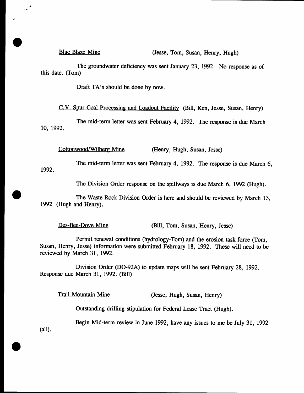## Blue Blaze Mine (Jesse, Tom, Susan, Henry, Hugh)

The groundwater deficiency was sent January 23, 1992. No response as of this date. (Tom)

Draft TA's should be done by now.

C.V. Spur Coal Processing and Loadout Facility (Bill, Ken, Jesse, Susan, Henry)

The mid-term letter was sent February 4, 1992. The response is due March 10, t992.

Cottonwood/Wilberg Mine (Henry, Hugh, Susan, Jesse)

1992. The mid-term letter was sent February 4, 1992. The response is due March 6,

The Division Order response on the spillways is due March 6, 1992 (Hugh).

The Waste Rock Division Order is here and should be reviewed by March 13, 1992 (Hugh and Henry).

Des-Bee-Dove Mine (Bill, Tom, Susan, Henry, Jesse)

Permit renewal conditions (hydrology-Tom) and the erosion task force (Tom, Susan, Henry, Iesse) information were submitted February I8, 1992. These will need to be reviewed by March 31, 1992.

Division Order (DO-92A) to update maps will be sent February 28, 1992. Response due March 31, 1992. (Bill)

Trail Mountain Mine (Jesse, Hugh, Susan, Henry)

Outstanding drilling stipulation for Federal Lease Tract (Hugh).

Begin Mid-term review in June 1992, have any issues to me be July 31, 1992 (all).